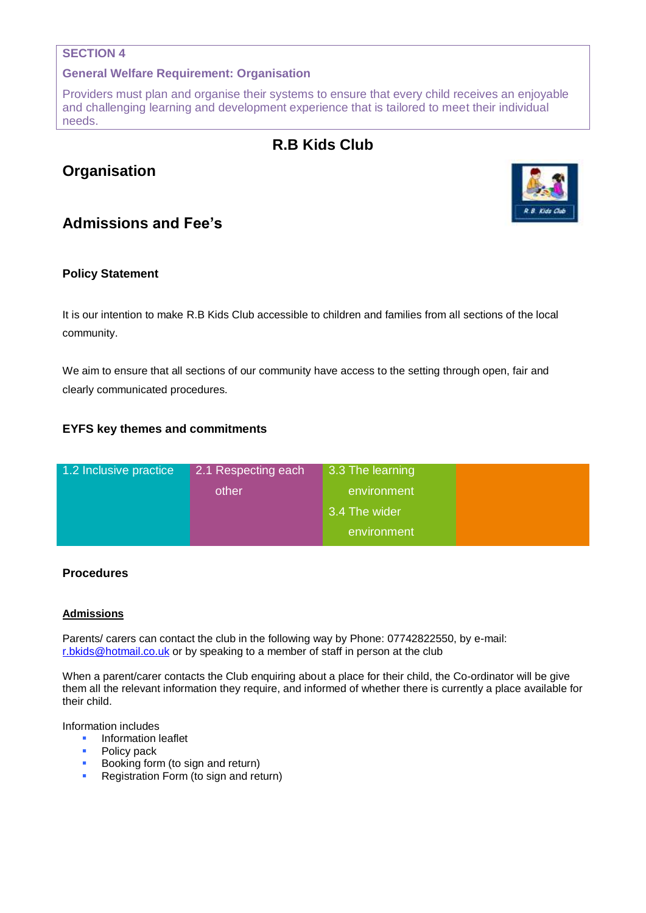#### **SECTION 4**

#### **General Welfare Requirement: Organisation**

Providers must plan and organise their systems to ensure that every child receives an enjoyable and challenging learning and development experience that is tailored to meet their individual needs.

# **R.B Kids Club**

# **Organisation**

## **Admissions and Fee's**

#### **Policy Statement**

It is our intention to make R.B Kids Club accessible to children and families from all sections of the local community.

We aim to ensure that all sections of our community have access to the setting through open, fair and clearly communicated procedures.

### **EYFS key themes and commitments**

| 1.2 Inclusive practice | 2.1 Respecting each | 3.3 The learning |  |
|------------------------|---------------------|------------------|--|
|                        | other               | environment      |  |
|                        |                     | 3.4 The wider    |  |
|                        |                     | environment      |  |

#### **Procedures**

#### **Admissions**

Parents/ carers can contact the club in the following way by Phone: 07742822550, by e-mail: [r.bkids@hotmail.co.uk](mailto:r.bkids@hotmail.co.uk) or by speaking to a member of staff in person at the club

When a parent/carer contacts the Club enquiring about a place for their child, the Co-ordinator will be give them all the relevant information they require, and informed of whether there is currently a place available for their child.

Information includes

- Information leaflet
- Policy pack
- **Booking form (to sign and return)**
- **Registration Form (to sign and return)**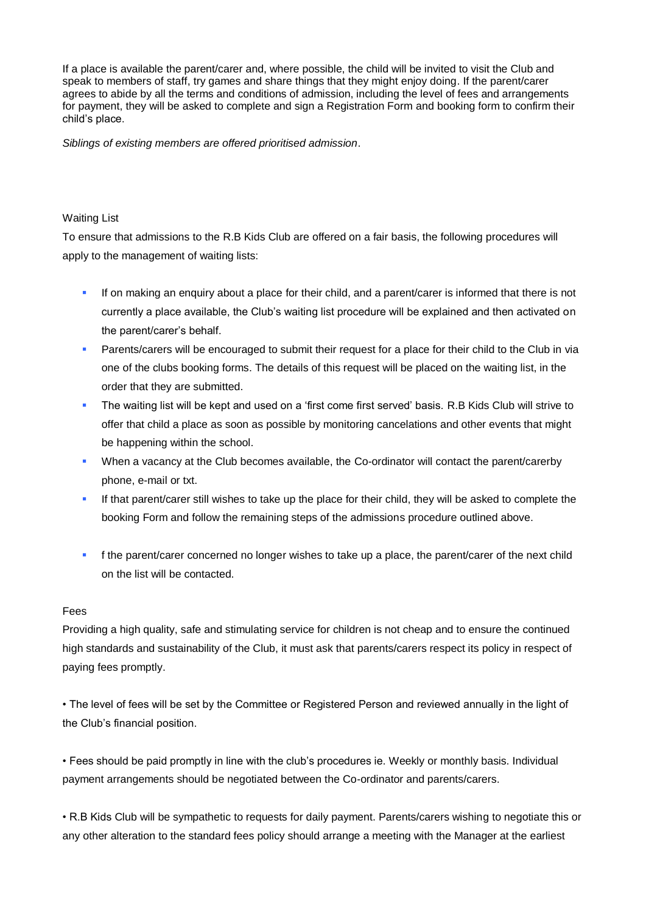If a place is available the parent/carer and, where possible, the child will be invited to visit the Club and speak to members of staff, try games and share things that they might enjoy doing. If the parent/carer agrees to abide by all the terms and conditions of admission, including the level of fees and arrangements for payment, they will be asked to complete and sign a Registration Form and booking form to confirm their child's place.

*Siblings of existing members are offered prioritised admission*.

#### Waiting List

To ensure that admissions to the R.B Kids Club are offered on a fair basis, the following procedures will apply to the management of waiting lists:

- If on making an enquiry about a place for their child, and a parent/carer is informed that there is not currently a place available, the Club's waiting list procedure will be explained and then activated on the parent/carer's behalf.
- **Parents/carers will be encouraged to submit their request for a place for their child to the Club in via** one of the clubs booking forms. The details of this request will be placed on the waiting list, in the order that they are submitted.
- The waiting list will be kept and used on a 'first come first served' basis. R.B Kids Club will strive to offer that child a place as soon as possible by monitoring cancelations and other events that might be happening within the school.
- When a vacancy at the Club becomes available, the Co-ordinator will contact the parent/carerby phone, e-mail or txt.
- If that parent/carer still wishes to take up the place for their child, they will be asked to complete the booking Form and follow the remaining steps of the admissions procedure outlined above.
- **f** the parent/carer concerned no longer wishes to take up a place, the parent/carer of the next child on the list will be contacted.

#### Fees

Providing a high quality, safe and stimulating service for children is not cheap and to ensure the continued high standards and sustainability of the Club, it must ask that parents/carers respect its policy in respect of paying fees promptly.

• The level of fees will be set by the Committee or Registered Person and reviewed annually in the light of the Club's financial position.

• Fees should be paid promptly in line with the club's procedures ie. Weekly or monthly basis. Individual payment arrangements should be negotiated between the Co-ordinator and parents/carers.

• R.B Kids Club will be sympathetic to requests for daily payment. Parents/carers wishing to negotiate this or any other alteration to the standard fees policy should arrange a meeting with the Manager at the earliest